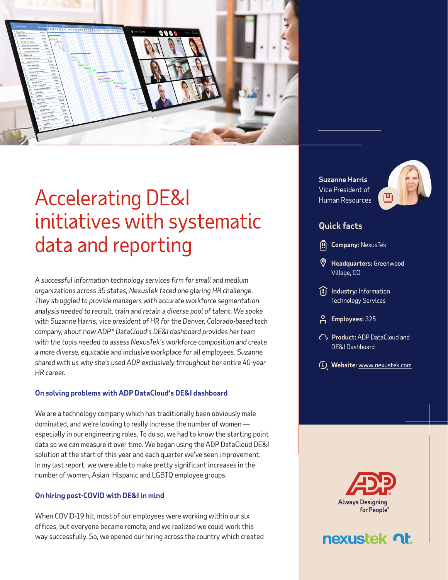

## Accelerating DE&I initiatives with systematic data and reporting

*A successful information technology services firm for small and medium organizations across 35 states, NexusTek faced one glaring HR challenge. They struggled to provide managers with accurate workforce segmentation analysis needed to recruit, train and retain a diverse pool of talent. We spoke with Suzanne Harris, vice president of HR for the Denver, Colorado-based tech company, about how ADP® DataCloud's DE&I dashboard provides her team with the tools needed to assess NexusTek's workforce composition and create a more diverse, equitable and inclusive workplace for all employees. Suzanne shared with us why she's used ADP exclusively throughout her entire 40-year HR career.* 

#### **On solving problems with ADP DataCloud's DE&I dashboard**

We are a technology company which has traditionally been obviously male dominated, and we're looking to really increase the number of women especially in our engineering roles. To do so, we had to know the starting point data so we can measure it over time. We began using the ADP DataCloud DE&I solution at the start of this year and each quarter we've seen improvement. In my last report, we were able to make pretty significant increases in the number of women, Asian, Hispanic and LGBTQ employee groups.

#### **On hiring post-COVID with DE&I in mind**

When COVID-19 hit, most of our employees were working within our six offices, but everyone became remote, and we realized we could work this way successfully. So, we opened our hiring across the country which created **Suzanne Harris**  Vice President of Human Resources



### **Quick facts**

**Company: NexusTek** 

- **Headquarters:** Greenwood Village, CO
- **II** Industry: Information Technology Services
- **Employees:** 325
- **Product:** ADP DataCloud and DE&I Dashboard
- **Website:** [www.nexustek.com](http://www.nexustek.com)



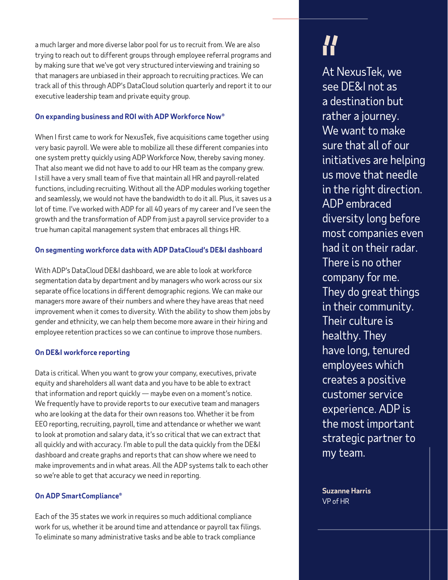a much larger and more diverse labor pool for us to recruit from. We are also trying to reach out to different groups through employee referral programs and by making sure that we've got very structured interviewing and training so that managers are unbiased in their approach to recruiting practices. We can track all of this through ADP's DataCloud solution quarterly and report it to our executive leadership team and private equity group.

#### **On expanding business and ROI with ADP Workforce Now®**

When I first came to work for NexusTek, five acquisitions came together using very basic payroll. We were able to mobilize all these different companies into one system pretty quickly using ADP Workforce Now, thereby saving money. That also meant we did not have to add to our HR team as the company grew. I still have a very small team of five that maintain all HR and payroll-related functions, including recruiting. Without all the ADP modules working together and seamlessly, we would not have the bandwidth to do it all. Plus, it saves us a lot of time. I've worked with ADP for all 40 years of my career and I've seen the growth and the transformation of ADP from just a payroll service provider to a true human capital management system that embraces all things HR.

#### **On segmenting workforce data with ADP DataCloud's DE&I dashboard**

With ADP's DataCloud DE&I dashboard, we are able to look at workforce segmentation data by department and by managers who work across our six separate office locations in different demographic regions. We can make our managers more aware of their numbers and where they have areas that need improvement when it comes to diversity. With the ability to show them jobs by gender and ethnicity, we can help them become more aware in their hiring and employee retention practices so we can continue to improve those numbers.

#### **On DE&I workforce reporting**

Data is critical. When you want to grow your company, executives, private equity and shareholders all want data and you have to be able to extract that information and report quickly — maybe even on a moment's notice. We frequently have to provide reports to our executive team and managers who are looking at the data for their own reasons too. Whether it be from EEO reporting, recruiting, payroll, time and attendance or whether we want to look at promotion and salary data, it's so critical that we can extract that all quickly and with accuracy. I'm able to pull the data quickly from the DE&I dashboard and create graphs and reports that can show where we need to make improvements and in what areas. All the ADP systems talk to each other so we're able to get that accuracy we need in reporting.

#### **On ADP SmartCompliance®**

Each of the 35 states we work in requires so much additional compliance work for us, whether it be around time and attendance or payroll tax filings. To eliminate so many administrative tasks and be able to track compliance

# *!!*

At NexusTek, we see DE&I not as a destination but rather a journey. We want to make sure that all of our initiatives are helping us move that needle in the right direction. ADP embraced diversity long before most companies even had it on their radar. There is no other company for me. They do great things in their community. Their culture is healthy. They have long, tenured employees which creates a positive customer service experience. ADP is the most important strategic partner to my team.

**Suzanne Harris**  VP of HR